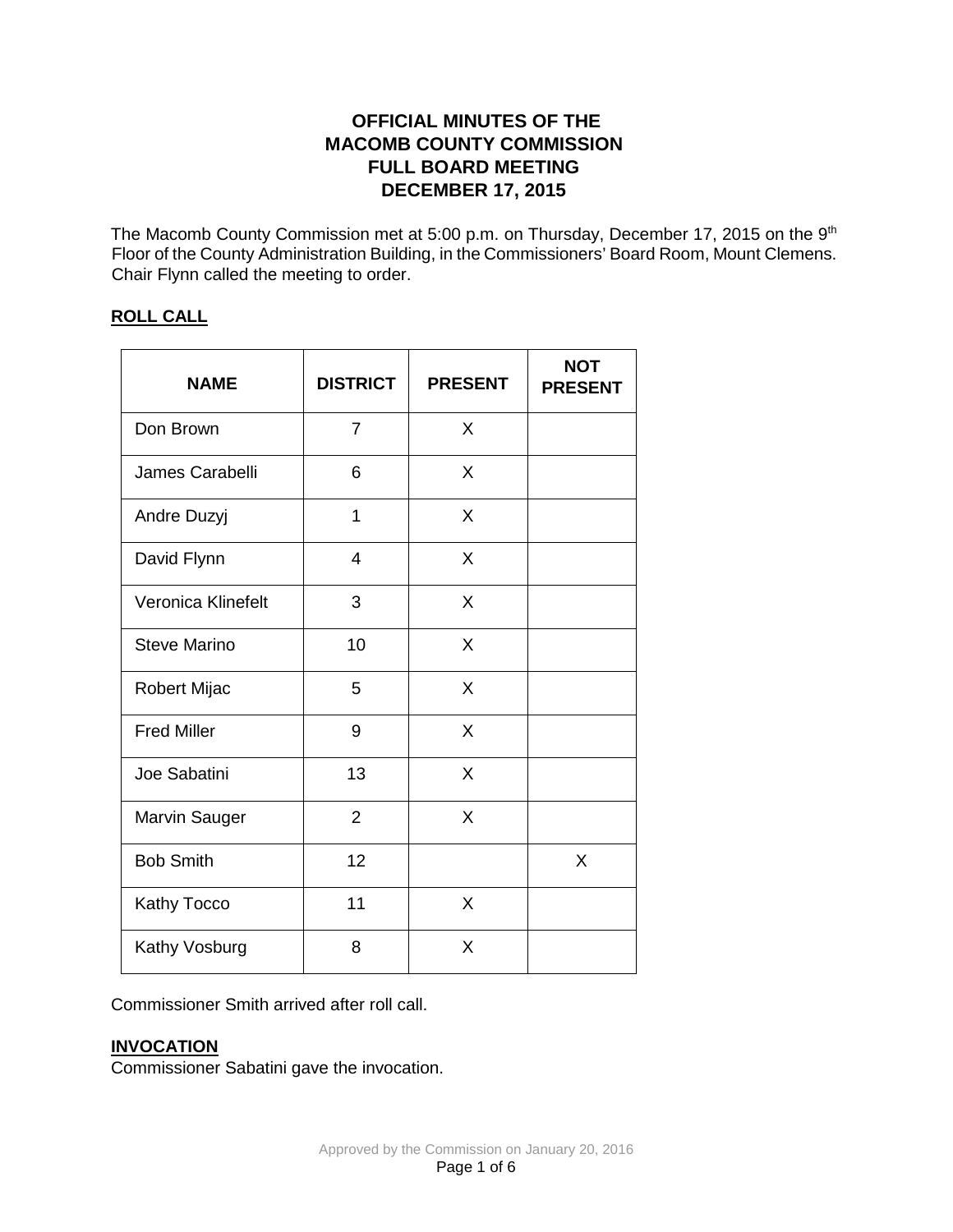# **OFFICIAL MINUTES OF THE MACOMB COUNTY COMMISSION FULL BOARD MEETING DECEMBER 17, 2015**

The Macomb County Commission met at 5:00 p.m. on Thursday, December 17, 2015 on the 9<sup>th</sup> Floor of the County Administration Building, in the Commissioners' Board Room, Mount Clemens. Chair Flynn called the meeting to order.

## **ROLL CALL**

| <b>NAME</b>         | <b>DISTRICT</b> | <b>PRESENT</b> | <b>NOT</b><br><b>PRESENT</b> |
|---------------------|-----------------|----------------|------------------------------|
| Don Brown           | $\overline{7}$  | X              |                              |
| James Carabelli     | 6               | X              |                              |
| Andre Duzyj         | 1               | X              |                              |
| David Flynn         | $\overline{4}$  | X              |                              |
| Veronica Klinefelt  | 3               | X              |                              |
| <b>Steve Marino</b> | 10              | X              |                              |
| Robert Mijac        | 5               | X              |                              |
| <b>Fred Miller</b>  | 9               | X              |                              |
| Joe Sabatini        | 13              | X              |                              |
| Marvin Sauger       | $\overline{2}$  | X              |                              |
| <b>Bob Smith</b>    | 12              |                | X                            |
| Kathy Tocco         | 11              | X              |                              |
| Kathy Vosburg       | 8               | Χ              |                              |

Commissioner Smith arrived after roll call.

### **INVOCATION**

Commissioner Sabatini gave the invocation.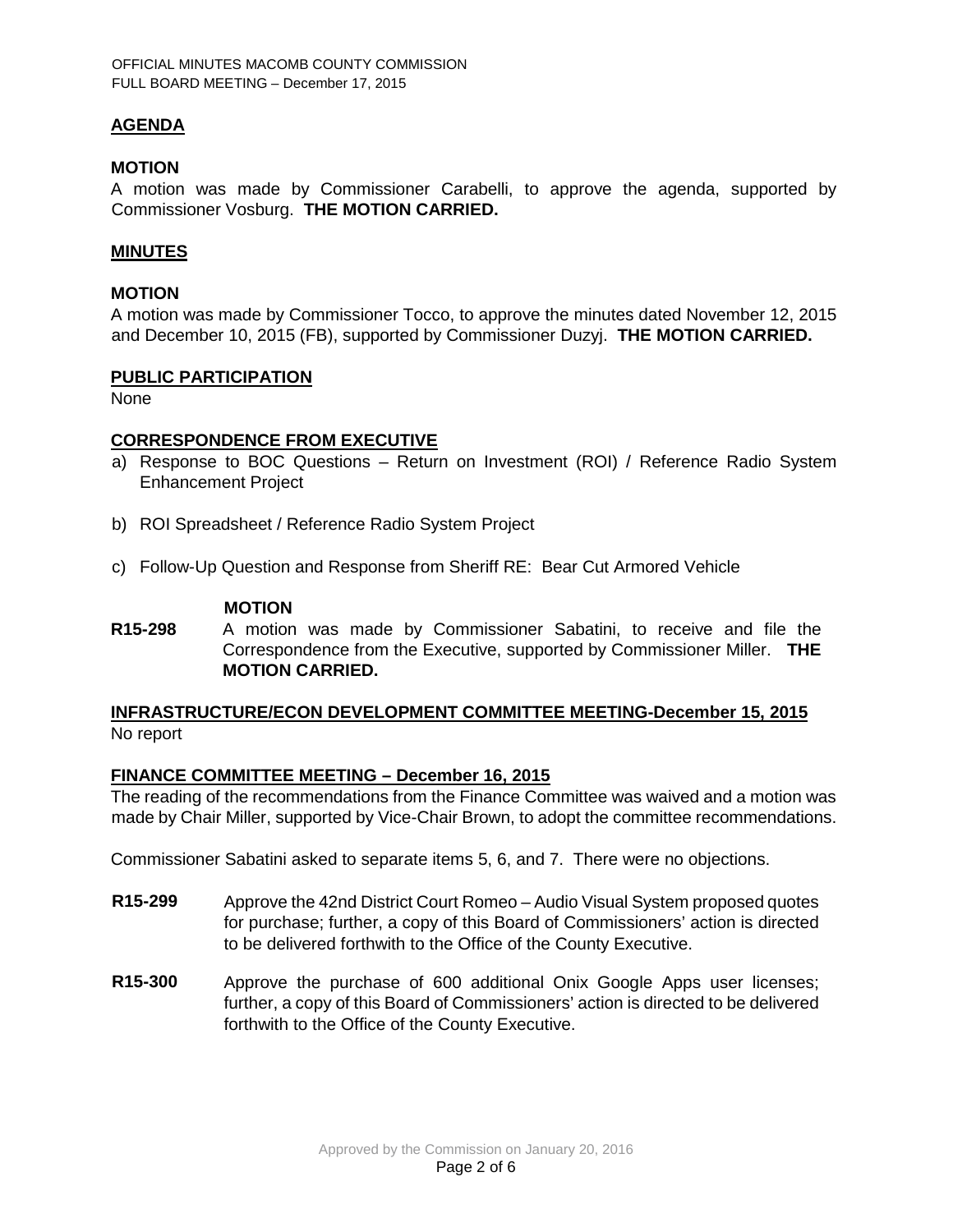### **AGENDA**

#### **MOTION**

A motion was made by Commissioner Carabelli, to approve the agenda, supported by Commissioner Vosburg. **THE MOTION CARRIED.** 

#### **MINUTES**

#### **MOTION**

A motion was made by Commissioner Tocco, to approve the minutes dated November 12, 2015 and December 10, 2015 (FB), supported by Commissioner Duzyj. **THE MOTION CARRIED.** 

#### **PUBLIC PARTICIPATION**

None

### **CORRESPONDENCE FROM EXECUTIVE**

- a) Response to BOC Questions Return on Investment (ROI) / Reference Radio System Enhancement Project
- b) ROI Spreadsheet / Reference Radio System Project
- c) Follow-Up Question and Response from Sheriff RE: Bear Cut Armored Vehicle

### **MOTION**

**R15-298** A motion was made by Commissioner Sabatini, to receive and file the Correspondence from the Executive, supported by Commissioner Miller. **THE MOTION CARRIED.**

### **INFRASTRUCTURE/ECON DEVELOPMENT COMMITTEE MEETING-December 15, 2015** No report

#### **FINANCE COMMITTEE MEETING – December 16, 2015**

The reading of the recommendations from the Finance Committee was waived and a motion was made by Chair Miller, supported by Vice-Chair Brown, to adopt the committee recommendations.

Commissioner Sabatini asked to separate items 5, 6, and 7. There were no objections.

- **R15-299** Approve the 42nd District Court Romeo Audio Visual System proposed quotes for purchase; further, a copy of this Board of Commissioners' action is directed to be delivered forthwith to the Office of the County Executive.
- **R15-300** Approve the purchase of 600 additional Onix Google Apps user licenses; further, a copy of this Board of Commissioners' action is directed to be delivered forthwith to the Office of the County Executive.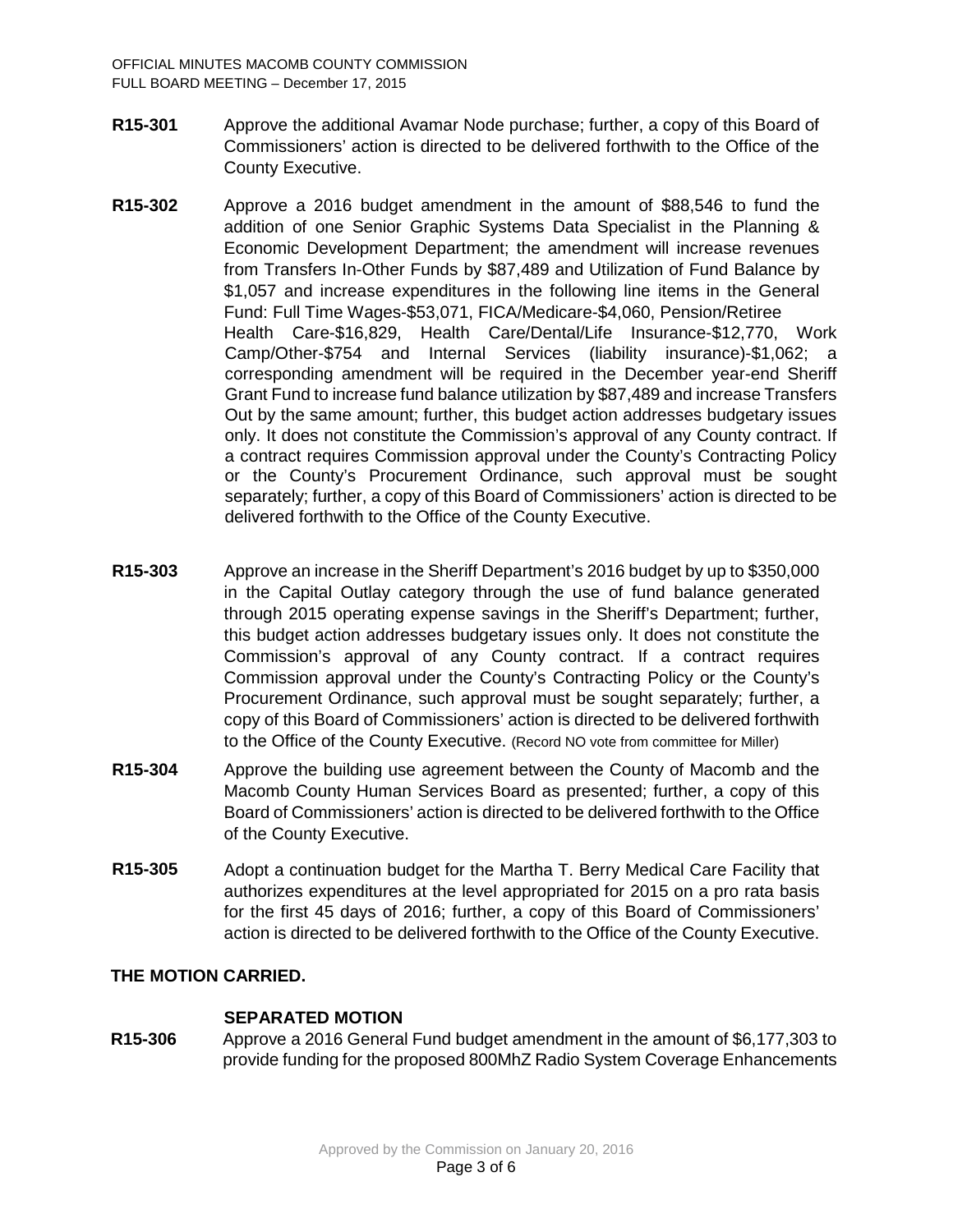- **R15-301** Approve the additional Avamar Node purchase; further, a copy of this Board of Commissioners' action is directed to be delivered forthwith to the Office of the County Executive.
- **R15-302** Approve a 2016 budget amendment in the amount of \$88,546 to fund the addition of one Senior Graphic Systems Data Specialist in the Planning & Economic Development Department; the amendment will increase revenues from Transfers In-Other Funds by \$87,489 and Utilization of Fund Balance by \$1,057 and increase expenditures in the following line items in the General Fund: Full Time Wages-\$53,071, FICA/Medicare-\$4,060, Pension/Retiree Health Care-\$16,829, Health Care/Dental/Life Insurance-\$12,770, Work Camp/Other-\$754 and Internal Services (liability insurance)-\$1,062; a corresponding amendment will be required in the December year-end Sheriff Grant Fund to increase fund balance utilization by \$87,489 and increase Transfers Out by the same amount; further, this budget action addresses budgetary issues only. It does not constitute the Commission's approval of any County contract. If a contract requires Commission approval under the County's Contracting Policy or the County's Procurement Ordinance, such approval must be sought separately; further, a copy of this Board of Commissioners' action is directed to be delivered forthwith to the Office of the County Executive.
- **R15-303** Approve an increase in the Sheriff Department's 2016 budget by up to \$350,000 in the Capital Outlay category through the use of fund balance generated through 2015 operating expense savings in the Sheriff's Department; further, this budget action addresses budgetary issues only. It does not constitute the Commission's approval of any County contract. If a contract requires Commission approval under the County's Contracting Policy or the County's Procurement Ordinance, such approval must be sought separately; further, a copy of this Board of Commissioners' action is directed to be delivered forthwith to the Office of the County Executive. (Record NO vote from committee for Miller)
- **R15-304** Approve the building use agreement between the County of Macomb and the Macomb County Human Services Board as presented; further, a copy of this Board of Commissioners' action is directed to be delivered forthwith to the Office of the County Executive.
- **R15-305** Adopt a continuation budget for the Martha T. Berry Medical Care Facility that authorizes expenditures at the level appropriated for 2015 on a pro rata basis for the first 45 days of 2016; further, a copy of this Board of Commissioners' action is directed to be delivered forthwith to the Office of the County Executive.

# **THE MOTION CARRIED.**

### **SEPARATED MOTION**

**R15-306** Approve a 2016 General Fund budget amendment in the amount of \$6,177,303 to provide funding for the proposed 800MhZ Radio System Coverage Enhancements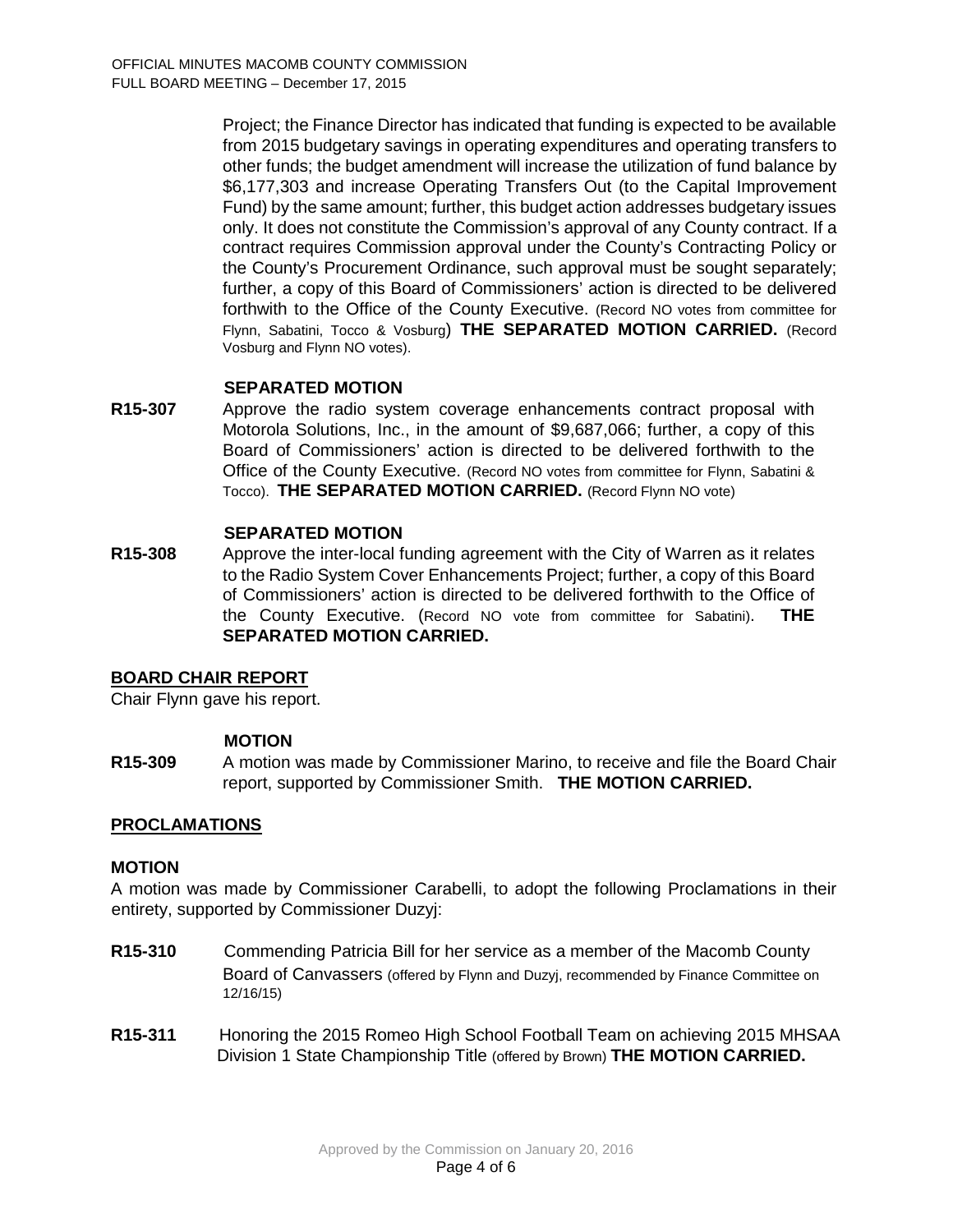Project; the Finance Director has indicated that funding is expected to be available from 2015 budgetary savings in operating expenditures and operating transfers to other funds; the budget amendment will increase the utilization of fund balance by \$6,177,303 and increase Operating Transfers Out (to the Capital Improvement Fund) by the same amount; further, this budget action addresses budgetary issues only. It does not constitute the Commission's approval of any County contract. If a contract requires Commission approval under the County's Contracting Policy or the County's Procurement Ordinance, such approval must be sought separately; further, a copy of this Board of Commissioners' action is directed to be delivered forthwith to the Office of the County Executive. (Record NO votes from committee for Flynn, Sabatini, Tocco & Vosburg) **THE SEPARATED MOTION CARRIED.** (Record Vosburg and Flynn NO votes).

### **SEPARATED MOTION**

**R15-307** Approve the radio system coverage enhancements contract proposal with Motorola Solutions, Inc., in the amount of \$9,687,066; further, a copy of this Board of Commissioners' action is directed to be delivered forthwith to the Office of the County Executive. (Record NO votes from committee for Flynn, Sabatini & Tocco). **THE SEPARATED MOTION CARRIED.** (Record Flynn NO vote)

### **SEPARATED MOTION**

**R15-308** Approve the inter-local funding agreement with the City of Warren as it relates to the Radio System Cover Enhancements Project; further, a copy of this Board of Commissioners' action is directed to be delivered forthwith to the Office of the County Executive. (Record NO vote from committee for Sabatini). **THE SEPARATED MOTION CARRIED.** 

### **BOARD CHAIR REPORT**

Chair Flynn gave his report.

#### **MOTION**

**R15-309** A motion was made by Commissioner Marino, to receive and file the Board Chair report, supported by Commissioner Smith. **THE MOTION CARRIED.**

### **PROCLAMATIONS**

#### **MOTION**

A motion was made by Commissioner Carabelli, to adopt the following Proclamations in their entirety, supported by Commissioner Duzyj:

- **R15-310** Commending Patricia Bill for her service as a member of the Macomb County Board of Canvassers (offered by Flynn and Duzyj, recommended by Finance Committee on 12/16/15)
- **R15-311** Honoring the 2015 Romeo High School Football Team on achieving 2015 MHSAA Division 1 State Championship Title (offered by Brown) **THE MOTION CARRIED.**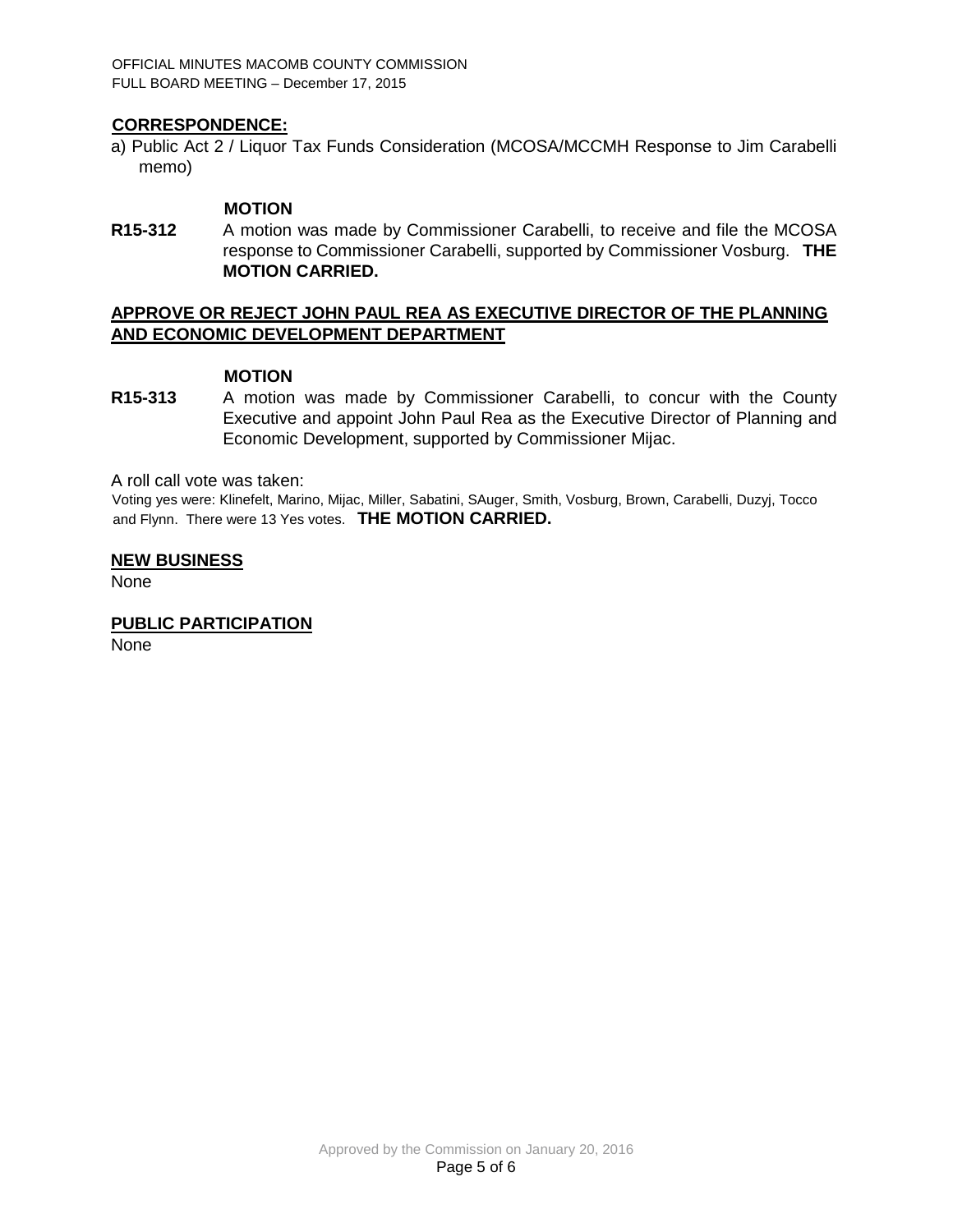OFFICIAL MINUTES MACOMB COUNTY COMMISSION FULL BOARD MEETING – December 17, 2015

### **CORRESPONDENCE:**

a) Public Act 2 / Liquor Tax Funds Consideration (MCOSA/MCCMH Response to Jim Carabelli memo)

#### **MOTION**

**R15-312** A motion was made by Commissioner Carabelli, to receive and file the MCOSA response to Commissioner Carabelli, supported by Commissioner Vosburg. **THE MOTION CARRIED.**

### **APPROVE OR REJECT JOHN PAUL REA AS EXECUTIVE DIRECTOR OF THE PLANNING AND ECONOMIC DEVELOPMENT DEPARTMENT**

### **MOTION**

**R15-313** A motion was made by Commissioner Carabelli, to concur with the County Executive and appoint John Paul Rea as the Executive Director of Planning and Economic Development, supported by Commissioner Mijac.

A roll call vote was taken:

Voting yes were: Klinefelt, Marino, Mijac, Miller, Sabatini, SAuger, Smith, Vosburg, Brown, Carabelli, Duzyj, Tocco and Flynn. There were 13 Yes votes. **THE MOTION CARRIED.**

#### **NEW BUSINESS**

None

#### **PUBLIC PARTICIPATION**

None